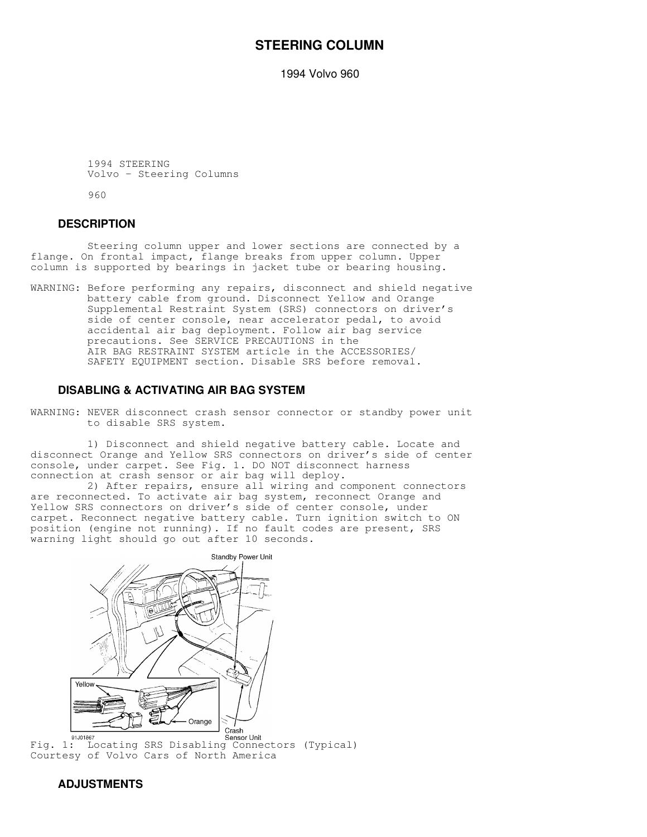# **STEERING COLUMN**

1994 Volvo 960

 1994 STEERING Volvo - Steering Columns

960

## **DESCRIPTION**

 Steering column upper and lower sections are connected by a flange. On frontal impact, flange breaks from upper column. Upper column is supported by bearings in jacket tube or bearing housing.

WARNING: Before performing any repairs, disconnect and shield negative battery cable from ground. Disconnect Yellow and Orange Supplemental Restraint System (SRS) connectors on driver's side of center console, near accelerator pedal, to avoid accidental air bag deployment. Follow air bag service precautions. See SERVICE PRECAUTIONS in the AIR BAG RESTRAINT SYSTEM article in the ACCESSORIES/ SAFETY EQUIPMENT section. Disable SRS before removal.

# **DISABLING & ACTIVATING AIR BAG SYSTEM**

WARNING: NEVER disconnect crash sensor connector or standby power unit to disable SRS system.

 1) Disconnect and shield negative battery cable. Locate and disconnect Orange and Yellow SRS connectors on driver's side of center console, under carpet. See Fig. 1. DO NOT disconnect harness connection at crash sensor or air bag will deploy.

 2) After repairs, ensure all wiring and component connectors are reconnected. To activate air bag system, reconnect Orange and Yellow SRS connectors on driver's side of center console, under carpet. Reconnect negative battery cable. Turn ignition switch to ON position (engine not running). If no fault codes are present, SRS warning light should go out after 10 seconds.



Courtesy of Volvo Cars of North America

# **ADJUSTMENTS**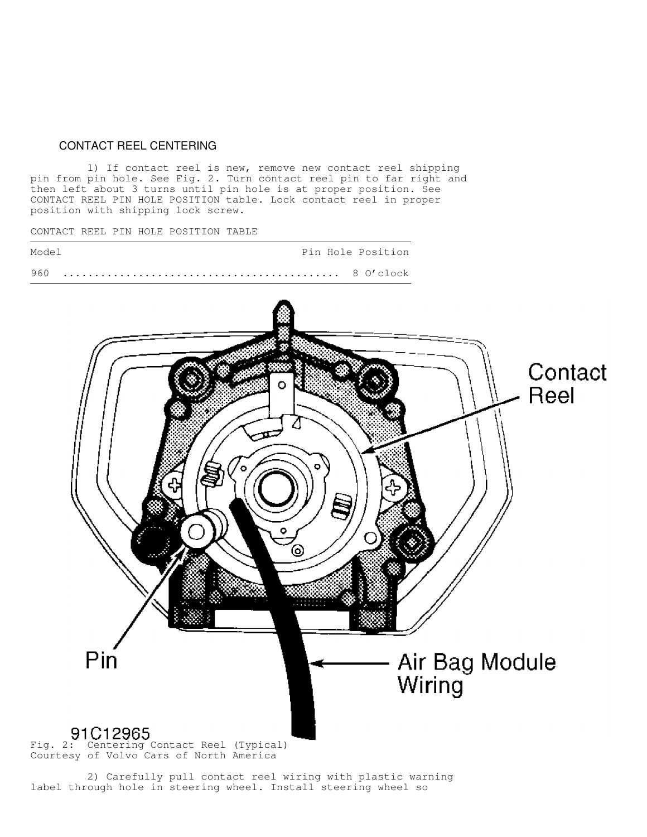## CONTACT REEL CENTERING

 1) If contact reel is new, remove new contact reel shipping pin from pin hole. See Fig. 2. Turn contact reel pin to far right and then left about 3 turns until pin hole is at proper position. See CONTACT REEL PIN HOLE POSITION table. Lock contact reel in proper position with shipping lock screw.

CONTACT REEL PIN HOLE POSITION TABLE



 2) Carefully pull contact reel wiring with plastic warning label through hole in steering wheel. Install steering wheel so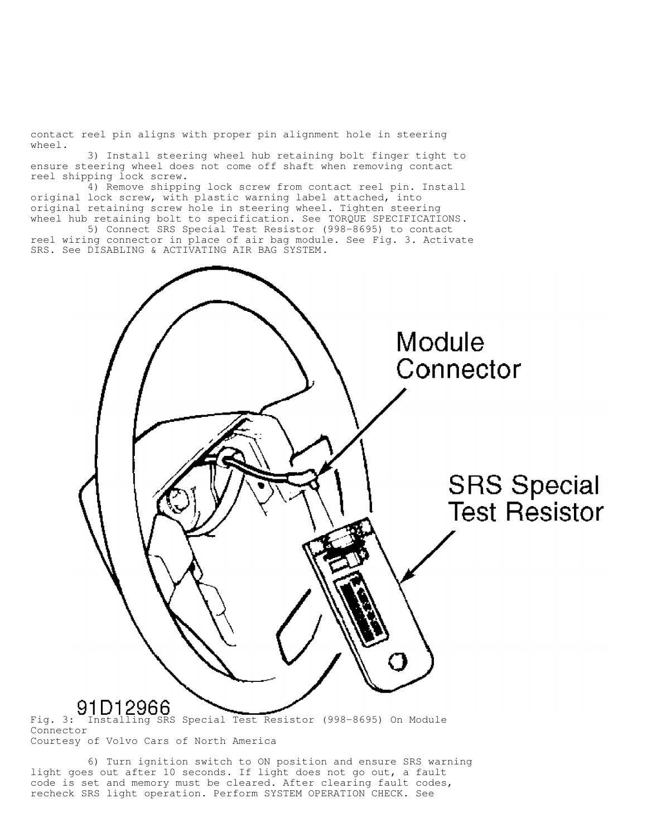contact reel pin aligns with proper pin alignment hole in steering wheel.

 3) Install steering wheel hub retaining bolt finger tight to ensure steering wheel does not come off shaft when removing contact reel shipping lock screw.

 4) Remove shipping lock screw from contact reel pin. Install original lock screw, with plastic warning label attached, into original retaining screw hole in steering wheel. Tighten steering wheel hub retaining bolt to specification. See TORQUE SPECIFICATIONS.

 5) Connect SRS Special Test Resistor (998-8695) to contact reel wiring connector in place of air bag module. See Fig. 3. Activate SRS. See DISABLING & ACTIVATING AIR BAG SYSTEM.



Connector Courtesy of Volvo Cars of North America

 6) Turn ignition switch to ON position and ensure SRS warning light goes out after 10 seconds. If light does not go out, a fault code is set and memory must be cleared. After clearing fault codes, recheck SRS light operation. Perform SYSTEM OPERATION CHECK. See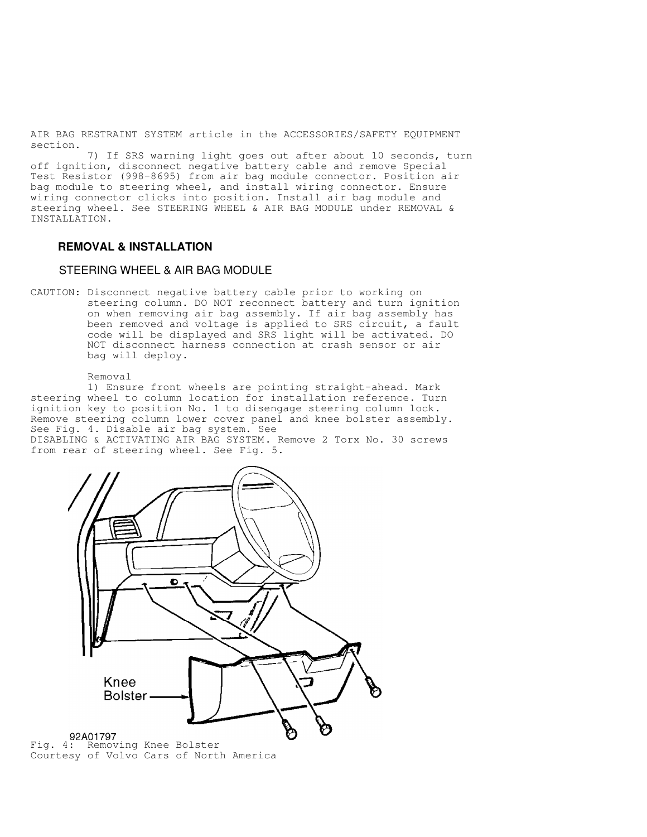AIR BAG RESTRAINT SYSTEM article in the ACCESSORIES/SAFETY EQUIPMENT section.

 7) If SRS warning light goes out after about 10 seconds, turn off ignition, disconnect negative battery cable and remove Special Test Resistor (998-8695) from air bag module connector. Position air bag module to steering wheel, and install wiring connector. Ensure wiring connector clicks into position. Install air bag module and steering wheel. See STEERING WHEEL & AIR BAG MODULE under REMOVAL & INSTALLATION.

## **REMOVAL & INSTALLATION**

### STEERING WHEEL & AIR BAG MODULE

CAUTION: Disconnect negative battery cable prior to working on steering column. DO NOT reconnect battery and turn ignition on when removing air bag assembly. If air bag assembly has been removed and voltage is applied to SRS circuit, a fault code will be displayed and SRS light will be activated. DO NOT disconnect harness connection at crash sensor or air bag will deploy.

Removal

 1) Ensure front wheels are pointing straight-ahead. Mark steering wheel to column location for installation reference. Turn ignition key to position No. 1 to disengage steering column lock. Remove steering column lower cover panel and knee bolster assembly. See Fig. 4. Disable air bag system. See

DISABLING & ACTIVATING AIR BAG SYSTEM. Remove 2 Torx No. 30 screws from rear of steering wheel. See Fig. 5.

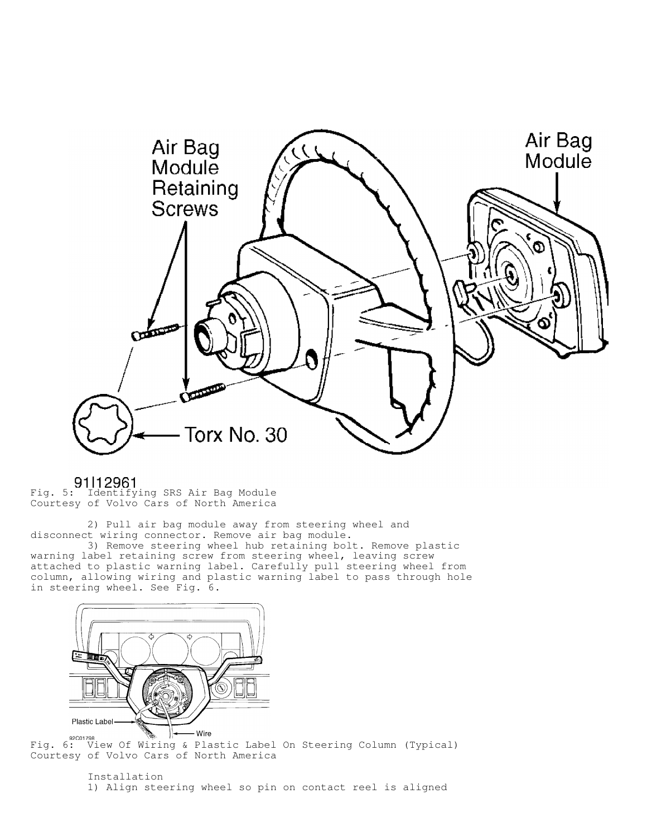

91112961<br>Fig. 5: Identifying SRS Air Bag Module Courtesy of Volvo Cars of North America

 2) Pull air bag module away from steering wheel and disconnect wiring connector. Remove air bag module.

 3) Remove steering wheel hub retaining bolt. Remove plastic warning label retaining screw from steering wheel, leaving screw attached to plastic warning label. Carefully pull steering wheel from column, allowing wiring and plastic warning label to pass through hole in steering wheel. See Fig. 6.



SPCO1798 SPCO1798 WE HE WAS THE WAS LIKE STRING ON Steering Column (Typical) Courtesy of Volvo Cars of North America

> Installation 1) Align steering wheel so pin on contact reel is aligned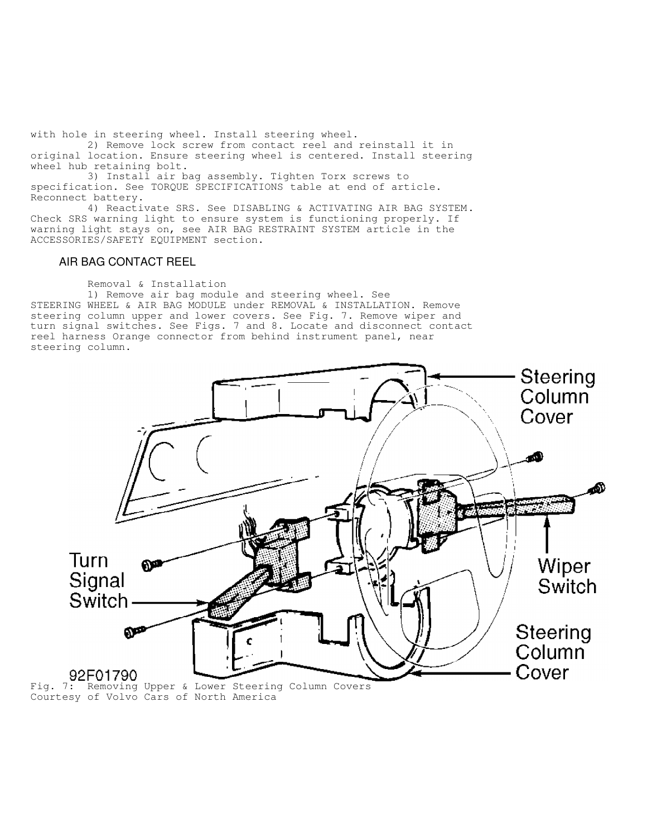with hole in steering wheel. Install steering wheel.

 2) Remove lock screw from contact reel and reinstall it in original location. Ensure steering wheel is centered. Install steering wheel hub retaining bolt.

 3) Install air bag assembly. Tighten Torx screws to specification. See TORQUE SPECIFICATIONS table at end of article. Reconnect battery.

 4) Reactivate SRS. See DISABLING & ACTIVATING AIR BAG SYSTEM. Check SRS warning light to ensure system is functioning properly. If warning light stays on, see AIR BAG RESTRAINT SYSTEM article in the ACCESSORIES/SAFETY EQUIPMENT section.

## AIR BAG CONTACT REEL

Removal & Installation

 1) Remove air bag module and steering wheel. See STEERING WHEEL & AIR BAG MODULE under REMOVAL & INSTALLATION. Remove steering column upper and lower covers. See Fig. 7. Remove wiper and turn signal switches. See Figs. 7 and 8. Locate and disconnect contact reel harness Orange connector from behind instrument panel, near steering column.



Courtesy of Volvo Cars of North America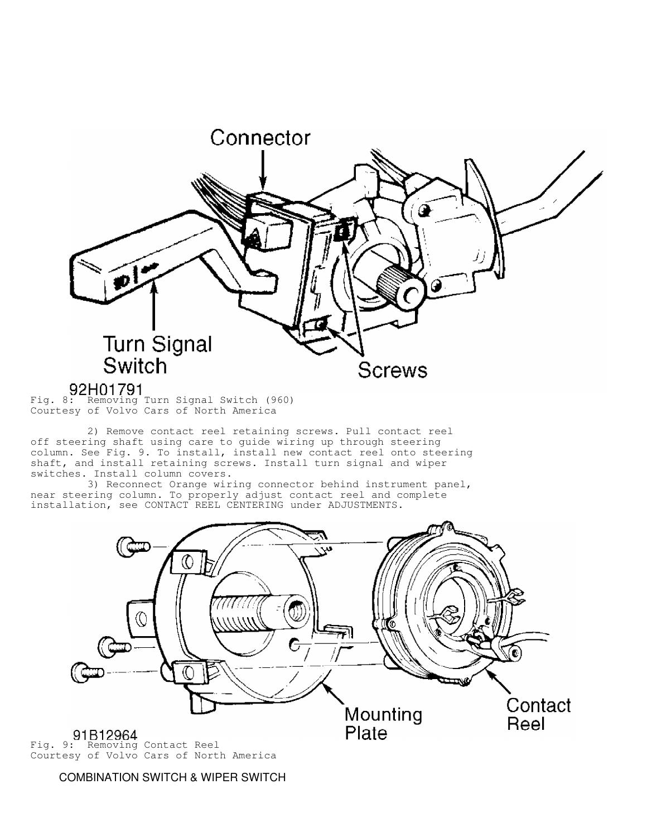

 2) Remove contact reel retaining screws. Pull contact reel off steering shaft using care to guide wiring up through steering column. See Fig. 9. To install, install new contact reel onto steering shaft, and install retaining screws. Install turn signal and wiper switches. Install column covers.

 3) Reconnect Orange wiring connector behind instrument panel, near steering column. To properly adjust contact reel and complete installation, see CONTACT REEL CENTERING under ADJUSTMENTS.



COMBINATION SWITCH & WIPER SWITCH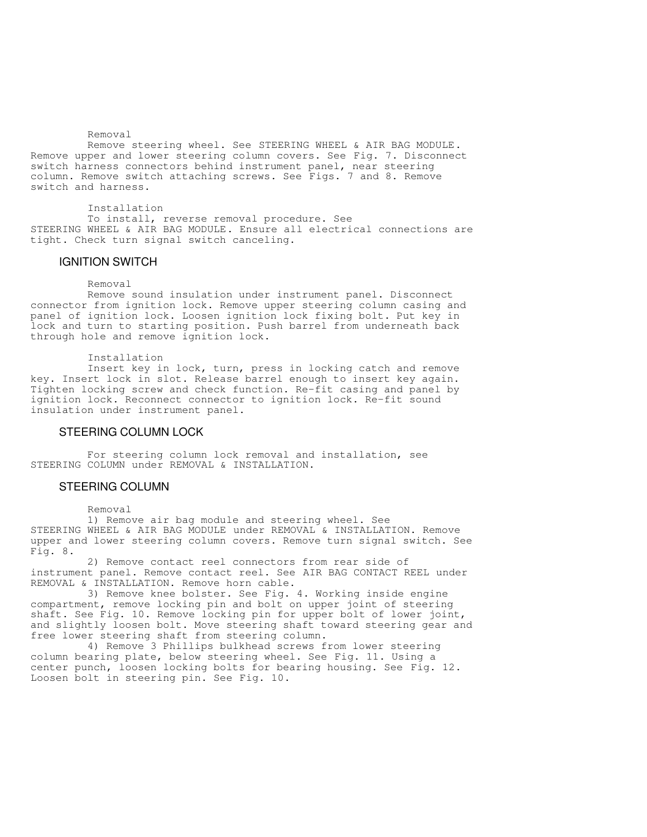Removal

 Remove steering wheel. See STEERING WHEEL & AIR BAG MODULE. Remove upper and lower steering column covers. See Fig. 7. Disconnect switch harness connectors behind instrument panel, near steering column. Remove switch attaching screws. See Figs. 7 and 8. Remove switch and harness.

Installation

 To install, reverse removal procedure. See STEERING WHEEL & AIR BAG MODULE. Ensure all electrical connections are tight. Check turn signal switch canceling.

### IGNITION SWITCH

### Removal

 Remove sound insulation under instrument panel. Disconnect connector from ignition lock. Remove upper steering column casing and panel of ignition lock. Loosen ignition lock fixing bolt. Put key in lock and turn to starting position. Push barrel from underneath back through hole and remove ignition lock.

Installation

 Insert key in lock, turn, press in locking catch and remove key. Insert lock in slot. Release barrel enough to insert key again. Tighten locking screw and check function. Re-fit casing and panel by ignition lock. Reconnect connector to ignition lock. Re-fit sound insulation under instrument panel.

### STEERING COLUMN LOCK

 For steering column lock removal and installation, see STEERING COLUMN under REMOVAL & INSTALLATION.

### STEERING COLUMN

Removal

 1) Remove air bag module and steering wheel. See STEERING WHEEL & AIR BAG MODULE under REMOVAL & INSTALLATION. Remove upper and lower steering column covers. Remove turn signal switch. See Fig. 8.

 2) Remove contact reel connectors from rear side of instrument panel. Remove contact reel. See AIR BAG CONTACT REEL under REMOVAL & INSTALLATION. Remove horn cable.

 3) Remove knee bolster. See Fig. 4. Working inside engine compartment, remove locking pin and bolt on upper joint of steering shaft. See Fig. 10. Remove locking pin for upper bolt of lower joint, and slightly loosen bolt. Move steering shaft toward steering gear and free lower steering shaft from steering column.

 4) Remove 3 Phillips bulkhead screws from lower steering column bearing plate, below steering wheel. See Fig. 11. Using a center punch, loosen locking bolts for bearing housing. See Fig. 12. Loosen bolt in steering pin. See Fig. 10.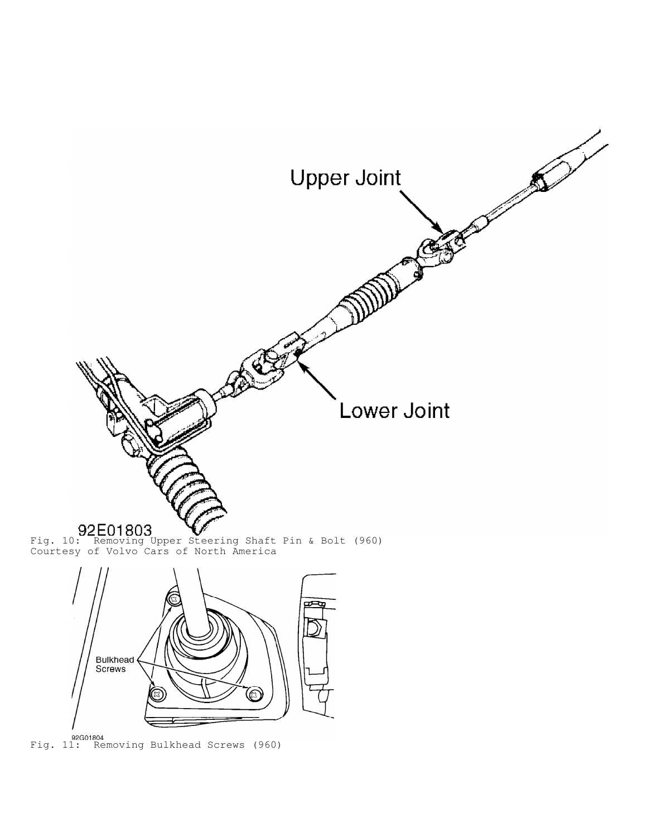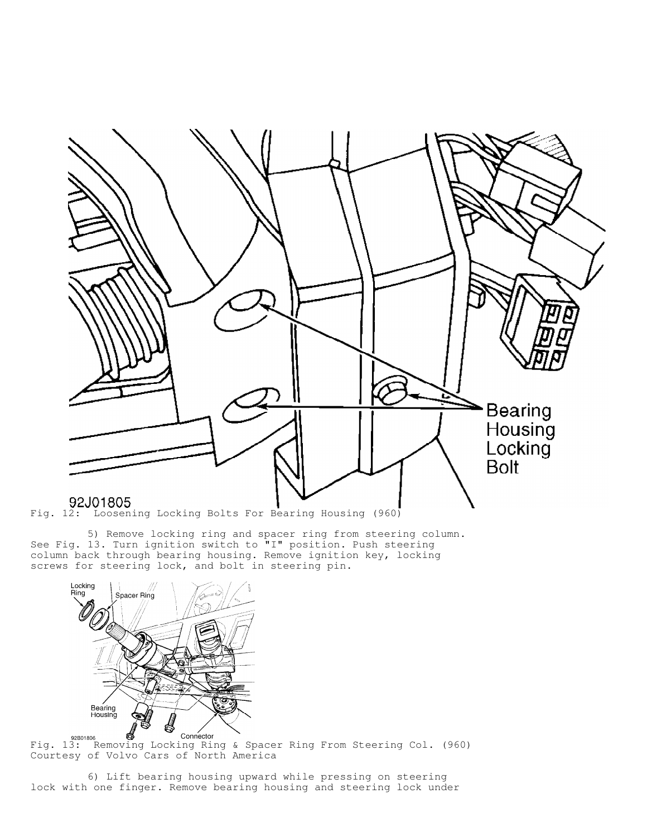

 5) Remove locking ring and spacer ring from steering column. See Fig. 13. Turn ignition switch to "I" position. Push steering column back through bearing housing. Remove ignition key, locking screws for steering lock, and bolt in steering pin.



Fig. 13: Removing Locking Ring & Spacer Ring From Steering Col. (960) Courtesy of Volvo Cars of North America

 6) Lift bearing housing upward while pressing on steering lock with one finger. Remove bearing housing and steering lock under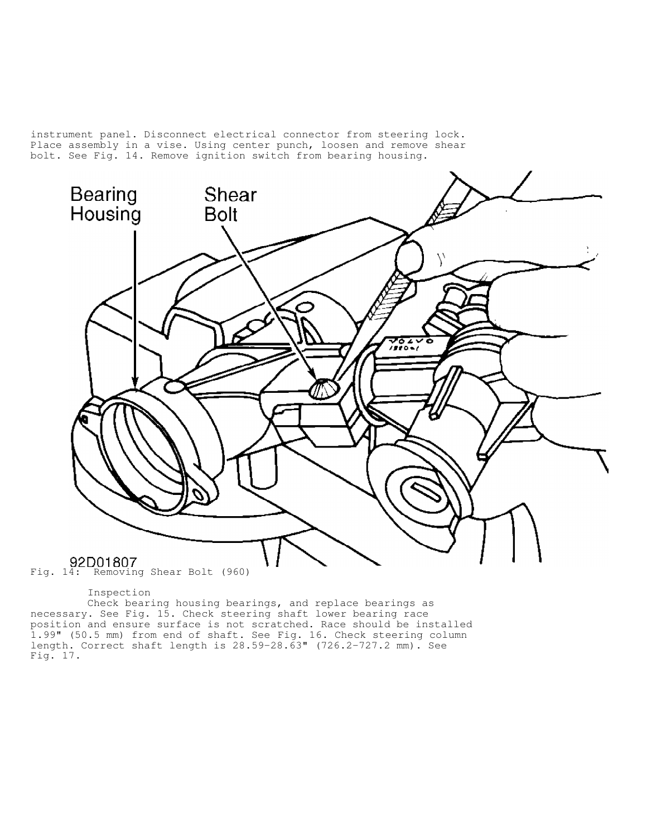instrument panel. Disconnect electrical connector from steering lock. Place assembly in a vise. Using center punch, loosen and remove shear bolt. See Fig. 14. Remove ignition switch from bearing housing.



Inspection

 Check bearing housing bearings, and replace bearings as necessary. See Fig. 15. Check steering shaft lower bearing race position and ensure surface is not scratched. Race should be installed 1.99" (50.5 mm) from end of shaft. See Fig. 16. Check steering column length. Correct shaft length is 28.59-28.63" (726.2-727.2 mm). See Fig. 17.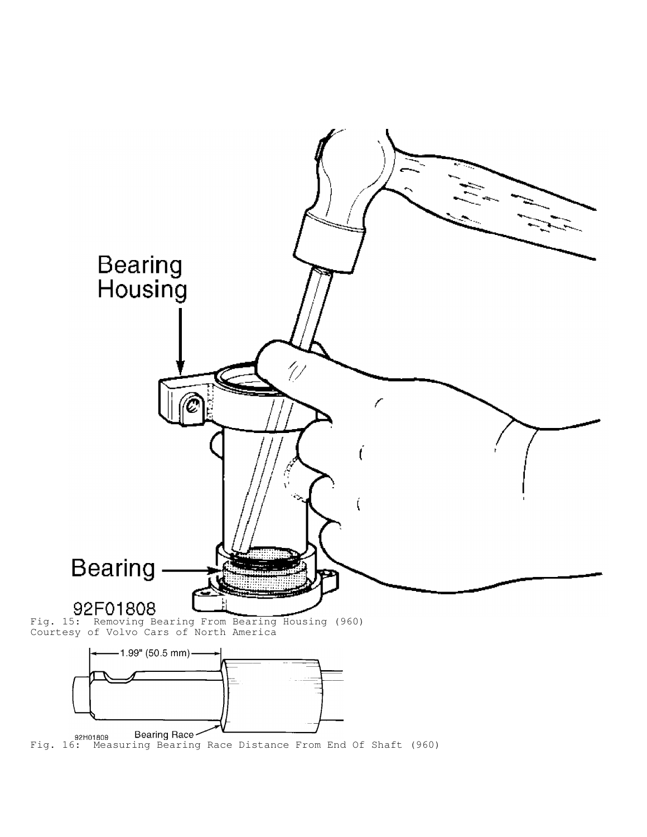

92H01809 Bearing Race **Constant Constrained Bearing Searing Race Distance From End Of Shaft (960)**